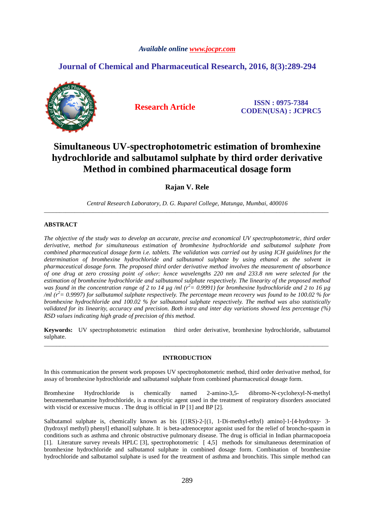## *Available online www.jocpr.com*

## **Journal of Chemical and Pharmaceutical Research, 2016, 8(3):289-294**



**Research Article ISSN : 0975-7384 CODEN(USA) : JCPRC5**

# **Simultaneous UV-spectrophotometric estimation of bromhexine hydrochloride and salbutamol sulphate by third order derivative Method in combined pharmaceutical dosage form**

**Rajan V. Rele** 

*Central Research Laboratory, D. G. Ruparel College, Matunga, Mumbai, 400016* \_\_\_\_\_\_\_\_\_\_\_\_\_\_\_\_\_\_\_\_\_\_\_\_\_\_\_\_\_\_\_\_\_\_\_\_\_\_\_\_\_\_\_\_\_\_\_\_\_\_\_\_\_\_\_\_\_\_\_\_\_\_\_\_\_\_\_\_\_\_\_\_\_\_\_\_\_\_\_\_\_\_\_\_\_\_\_\_\_\_\_\_\_

## **ABSTRACT**

*The objective of the study was to develop an accurate, precise and economical UV spectrophotometric, third order derivative, method for simultaneous estimation of bromhexine hydrochloride and salbutamol sulphate from combined pharmaceutical dosage form i.e. tablets. The validation was carried out by using ICH guidelines for the determination of bromhexine hydrochloride and salbutamol sulphate by using ethanol as the solvent in pharmaceutical dosage form. The proposed third order derivative method involves the measurement of absorbance of one drug at zero crossing point of other; hence wavelengths 220 nm and 233.8 nm were selected for the estimation of bromhexine hydrochloride and salbutamol sulphate respectively. The linearity of the proposed method was found in the concentration range of 2 to 14 µg /ml (r<sup>2</sup>= 0.9991) for bromhexine hydrochloride and 2 to 16 µg /ml (r<sup>2</sup>= 0.9997) for salbutamol sulphate respectively. The percentage mean recovery was found to be 100.02 % for bromhexine hydrochloride and 100.02 % for salbutamol sulphate respectively. The method was also statistically validated for its linearity, accuracy and precision. Both intra and inter day variations showed less percentage (%) RSD values indicating high grade of precision of this method.* 

**Keywords:** UV spectrophotometric estimation third order derivative, bromhexine hydrochloride, salbutamol sulphate. \_\_\_\_\_\_\_\_\_\_\_\_\_\_\_\_\_\_\_\_\_\_\_\_\_\_\_\_\_\_\_\_\_\_\_\_\_\_\_\_\_\_\_\_\_\_\_\_\_\_\_\_\_\_\_\_\_\_\_\_\_\_\_\_\_\_\_\_\_\_\_\_\_\_\_\_\_\_\_\_\_\_\_\_\_\_\_\_\_\_\_\_\_

#### **INTRODUCTION**

In this communication the present work proposes UV spectrophotometric method, third order derivative method, for assay of bromhexine hydrochloride and salbutamol sulphate from combined pharmaceutical dosage form.

Bromhexine Hydrochloride is chemically named 2-amino-3,5- dibromo-N-cyclohexyl-N-methyl benzenemethanamine hydrochloride, is a mucolytic agent used in the treatment of respiratory disorders associated with viscid or excessive mucus . The drug is official in IP [1] and BP [2].

Salbutamol sulphate is, chemically known as bis  $[(1RS)-2-[(1, 1-Di-methyl-ethyl)$  amino]-1-[4-hydroxy-3-(hydroxyl methyl) phenyl] ethanol] sulphate. It is beta‐adrenoceptor agonist used for the relief of broncho‐spasm in conditions such as asthma and chronic obstructive pulmonary disease. The drug is official in Indian pharmacopoeia [1]. Literature survey reveals HPLC [3], spectrophotometric [ 4,5] methods for simultaneous determination of bromhexine hydrochloride and salbutamol sulphate in combined dosage form. Combination of bromhexine hydrochloride and salbutamol sulphate is used for the treatment of asthma and bronchitis. This simple method can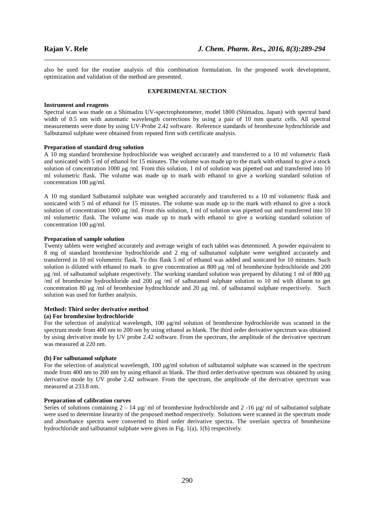also be used for the routine analysis of this combination formulation. In the proposed work development, optimization and validation of the method are presented.

\_\_\_\_\_\_\_\_\_\_\_\_\_\_\_\_\_\_\_\_\_\_\_\_\_\_\_\_\_\_\_\_\_\_\_\_\_\_\_\_\_\_\_\_\_\_\_\_\_\_\_\_\_\_\_\_\_\_\_\_\_\_\_\_\_\_\_\_\_\_\_\_\_\_\_\_\_\_

#### **EXPERIMENTAL SECTION**

#### **Instrument and reagents**

Spectral scan was made on a Shimadzu UV-spectrophotometer, model 1800 (Shimadzu, Japan) with spectral band width of 0.5 nm with automatic wavelength corrections by using a pair of 10 mm quartz cells. All spectral measurements were done by using UV-Probe 2.42 software. Reference standards of bromhexine hydrochloride and Salbutamol sulphate were obtained from reputed firm with certificate analysis.

#### **Preparation of standard drug solution**

A 10 mg standard bromhexine hydrochloride was weighed accurately and transferred to a 10 ml volumetric flask and sonicated with 5 ml of ethanol for 15 minutes. The volume was made up to the mark with ethanol to give a stock solution of concentration 1000  $\mu$ g /ml. From this solution, 1 ml of solution was pipetted out and transferred into 10 ml volumetric flask. The volume was made up to mark with ethanol to give a working standard solution of concentration 100 µg/ml.

A 10 mg standard Salbutamol sulphate was weighed accurately and transferred to a 10 ml volumetric flask and sonicated with 5 ml of ethanol for 15 minutes. The volume was made up to the mark with ethanol to give a stock solution of concentration 1000  $\mu$ g /ml. From this solution, 1 ml of solution was pipetted out and transferred into 10 ml volumetric flask. The volume was made up to mark with ethanol to give a working standard solution of concentration 100 µg/ml.

#### **Preparation of sample solution**

Twenty tablets were weighed accurately and average weight of each tablet was determined. A powder equivalent to 8 mg of standard bromhexine hydrochloride and 2 mg of salbutamol sulphate were weighted accurately and transferred in 10 ml volumetric flask. To this flask 5 ml of ethanol was added and sonicated for 10 minutes. Such solution is diluted with ethanol to mark to give concentration as 800 µg /ml of bromhexine hydrochloride and 200 µg /ml. of salbutamol sulphate respectively. The working standard solution was prepared by diluting 1 ml of 800 µg /ml of bromhexine hydrochloride and 200 µg /ml of salbutamol sulphate solution to 10 ml with diluent to get concentration 80 µg /ml of bromhexine hydrochloride and 20 µg /ml. of salbutamol sulphate respectively. Such solution was used for further analysis.

### **Method: Third order derivative method**

#### **(a) For bromhexine hydrochloride**

For the selection of analytical wavelength, 100 µg/ml solution of bromhexine hydrochloride was scanned in the spectrum mode from 400 nm to 200 nm by using ethanol as blank. The third order derivative spectrum was obtained by using derivative mode by UV probe 2.42 software. From the spectrum, the amplitude of the derivative spectrum was measured at 220 nm.

#### **(b) For salbutamol sulphate**

For the selection of analytical wavelength, 100  $\mu$ g/ml solution of salbutamol sulphate was scanned in the spectrum mode from 400 nm to 200 nm by using ethanol as blank. The third order derivative spectrum was obtained by using derivative mode by UV probe 2.42 software. From the spectrum, the amplitude of the derivative spectrum was measured at 233.8 nm.

#### **Preparation of calibration curves**

Series of solutions containing  $2 - 14 \mu g$ / ml of bromhexine hydrochloride and  $2 - 16 \mu g$ / ml of salbutamol sulphate were used to determine linearity of the proposed method respectively. Solutions were scanned in the spectrum mode and absorbance spectra were converted to third order derivative spectra. The overlain spectra of bromhexine hydrochloride and salbutamol sulphate were given in Fig. 1(a), 1(b) respectively.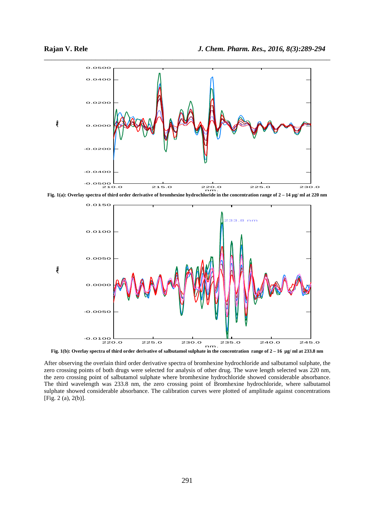

\_\_\_\_\_\_\_\_\_\_\_\_\_\_\_\_\_\_\_\_\_\_\_\_\_\_\_\_\_\_\_\_\_\_\_\_\_\_\_\_\_\_\_\_\_\_\_\_\_\_\_\_\_\_\_\_\_\_\_\_\_\_\_\_\_\_\_\_\_\_\_\_\_\_\_\_\_\_



**Fig. 1(b): Overlay spectra of third order derivative of salbutamol sulphate in the concentration range of 2 – 16 µg/ ml at 233.8 nm** 

After observing the overlain third order derivative spectra of bromhexine hydrochloride and salbutamol sulphate, the zero crossing points of both drugs were selected for analysis of other drug. The wave length selected was 220 nm, the zero crossing point of salbutamol sulphate where bromhexine hydrochloride showed considerable absorbance. The third wavelength was 233.8 nm, the zero crossing point of Bromhexine hydrochloride, where salbutamol sulphate showed considerable absorbance. The calibration curves were plotted of amplitude against concentrations [Fig. 2 (a), 2(b)].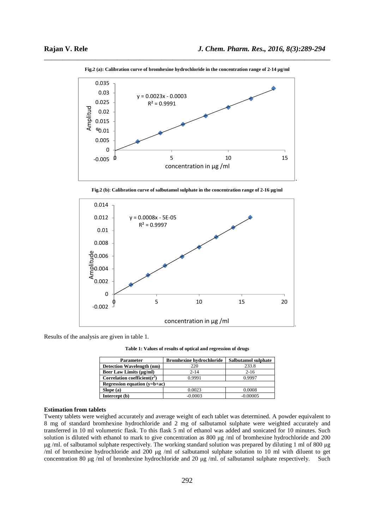

\_\_\_\_\_\_\_\_\_\_\_\_\_\_\_\_\_\_\_\_\_\_\_\_\_\_\_\_\_\_\_\_\_\_\_\_\_\_\_\_\_\_\_\_\_\_\_\_\_\_\_\_\_\_\_\_\_\_\_\_\_\_\_\_\_\_\_\_\_\_\_\_\_\_\_\_\_\_ **Fig.2 (a): Calibration curve of bromhexine hydrochloride in the concentration range of 2-14 µg/ml** 

**Fig.2 (b)**: **Calibration curve of salbutamol sulphate in the concentration range of 2-16 µg/ml** 



Results of the analysis are given in table 1.

**Table 1: Values of results of optical and regression of drugs** 

| <b>Parameter</b>                 | <b>Bromhexine hydrochloride</b> | Salbutamol sulphate |  |  |  |
|----------------------------------|---------------------------------|---------------------|--|--|--|
| <b>Detection Wavelength (nm)</b> | 220                             | 233.8               |  |  |  |
| <b>Beer Law Limits (µg/ml)</b>   | $2 - 14$                        | $2 - 16$            |  |  |  |
| Correlation coefficient( $r^2$ ) | 0.9991                          | 0.9997              |  |  |  |
| Regression equation $(v=b+ac)$   |                                 |                     |  |  |  |
| Slope(a)                         | 0.0023                          | 0.0008              |  |  |  |
| Intercept (b)                    | $-0.0003$                       | $-0.00005$          |  |  |  |

## **Estimation from tablets**

Twenty tablets were weighed accurately and average weight of each tablet was determined. A powder equivalent to 8 mg of standard bromhexine hydrochloride and 2 mg of salbutamol sulphate were weighted accurately and transferred in 10 ml volumetric flask. To this flask 5 ml of ethanol was added and sonicated for 10 minutes. Such solution is diluted with ethanol to mark to give concentration as 800 µg /ml of bromhexine hydrochloride and 200 µg /ml. of salbutamol sulphate respectively. The working standard solution was prepared by diluting 1 ml of 800 µg /ml of bromhexine hydrochloride and 200  $\mu$ g /ml of salbutamol sulphate solution to 10 ml with diluent to get concentration 80 µg /ml of bromhexine hydrochloride and 20 µg /ml. of salbutamol sulphate respectively. Such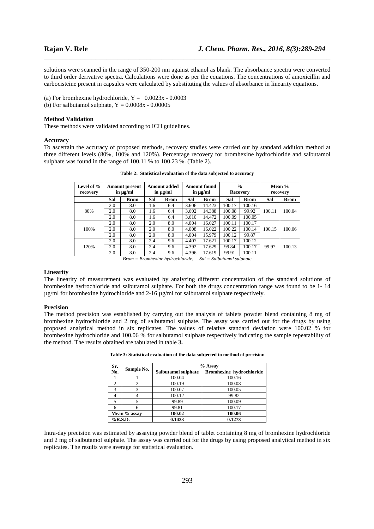solutions were scanned in the range of 350-200 nm against ethanol as blank. The absorbance spectra were converted to third order derivative spectra. Calculations were done as per the equations. The concentrations of amoxicillin and carbocisteine present in capsules were calculated by substituting the values of absorbance in linearity equations.

\_\_\_\_\_\_\_\_\_\_\_\_\_\_\_\_\_\_\_\_\_\_\_\_\_\_\_\_\_\_\_\_\_\_\_\_\_\_\_\_\_\_\_\_\_\_\_\_\_\_\_\_\_\_\_\_\_\_\_\_\_\_\_\_\_\_\_\_\_\_\_\_\_\_\_\_\_\_

(a) For bromhexine hydrochloride,  $Y = 0.0023x - 0.0003$ 

(b) For salbutamol sulphate,  $Y = 0.0008x - 0.00005$ 

#### **Method Validation**

These methods were validated according to ICH guidelines.

#### **Accuracy**

To ascertain the accuracy of proposed methods, recovery studies were carried out by standard addition method at three different levels (80%, 100% and 120%). Percentage recovery for bromhexine hydrochloride and salbutamol sulphate was found in the range of 100.11 % to 100.23 %. (Table 2).

| Level of %<br>recovery                                                                                                                                                                                       |     | <b>Amount present</b><br>in $\mu$ g/ml |     | Amount added<br>in $\mu$ g/ml |       | <b>Amount found</b><br>in $\mu$ g/ml | <b>Recovery</b> | $\frac{6}{6}$ |        | Mean %<br>recovery |
|--------------------------------------------------------------------------------------------------------------------------------------------------------------------------------------------------------------|-----|----------------------------------------|-----|-------------------------------|-------|--------------------------------------|-----------------|---------------|--------|--------------------|
|                                                                                                                                                                                                              | Sal | <b>Brom</b>                            | Sal | <b>Brom</b>                   | Sal   | <b>Brom</b>                          | Sal             | <b>Brom</b>   | Sal    | <b>Brom</b>        |
| 80%                                                                                                                                                                                                          | 2.0 | 8.0                                    | 1.6 | 6.4                           | 3.606 | 14.423                               | 100.17          | 100.16        |        |                    |
|                                                                                                                                                                                                              | 2.0 | 8.0                                    | 1.6 | 6.4                           | 3.602 | 14.388                               | 100.08          | 99.92         | 100.11 | 100.04             |
|                                                                                                                                                                                                              | 2.0 | 8.0                                    | 1.6 | 6.4                           | 3.610 | 14.472                               | 100.09          | 100.05        |        |                    |
|                                                                                                                                                                                                              | 2.0 | 8.0                                    | 2.0 | 8.0                           | 4.004 | 16.027                               | 100.11          | 100.17        |        |                    |
| 100%                                                                                                                                                                                                         | 2.0 | 8.0                                    | 2.0 | 8.0                           | 4.008 | 16.022                               | 100.22          | 100.14        | 100.15 | 100.06             |
|                                                                                                                                                                                                              | 2.0 | 8.0                                    | 2.0 | 8.0                           | 4.004 | 15.979                               | 100.12          | 99.87         |        |                    |
| 120%                                                                                                                                                                                                         | 2.0 | 8.0                                    | 2.4 | 9.6                           | 4.407 | 17.621                               | 100.17          | 100.12        |        |                    |
|                                                                                                                                                                                                              | 2.0 | 8.0                                    | 2.4 | 9.6                           | 4.392 | 17.629                               | 99.84           | 100.17        | 99.97  | 100.13             |
|                                                                                                                                                                                                              | 2.0 | 8.0                                    | 2.4 | 9.6                           | 4.396 | 17.619                               | 99.91           | 100.11        |        |                    |
| $D_{\text{max}} = D_{\text{max}}$ , $L_{\text{max}}$ , $L_{\text{max}}$ , $L_{\text{max}}$ , $L_{\text{max}}$ , $L_{\text{max}}$ , $L_{\text{max}}$ , $L_{\text{max}}$ , $L_{\text{max}}$ , $L_{\text{max}}$ |     |                                        |     |                               |       |                                      |                 |               |        |                    |

**Table 2: Statistical evaluation of the data subjected to accuracy** 

*Brom = Bromhexine hydrochloride, Sal = Salbutamol sulphate* 

## **Linearity**

The linearity of measurement was evaluated by analyzing different concentration of the standard solutions of bromhexine hydrochloride and salbutamol sulphate. For both the drugs concentration range was found to be 1- 14 µg/ml for bromhexine hydrochloride and 2-16 µg/ml for salbutamol sulphate respectively.

#### **Precision**

The method precision was established by carrying out the analysis of tablets powder blend containing 8 mg of bromhexine hydrochloride and 2 mg of salbutamol sulphate. The assay was carried out for the drugs by using proposed analytical method in six replicates. The values of relative standard deviation were 100.02 % for bromhexine hydrochloride and 100.06 % for salbutamol sulphate respectively indicating the sample repeatability of the method. The results obtained are tabulated in table 3**.** 

| Sr.                  |            | % Assay             |                                 |  |  |
|----------------------|------------|---------------------|---------------------------------|--|--|
| No.                  | Sample No. | Salbutamol sulphate | <b>Bromhexine hydrochloride</b> |  |  |
|                      |            | 100.04              | 100.16                          |  |  |
| $\overline{c}$       |            | 100.19              | 100.08                          |  |  |
| $\mathcal{R}$        | 3          | 100.07              | 100.05                          |  |  |
|                      |            | 100.12              | 99.82                           |  |  |
| 5                    |            | 99.89               | 100.09                          |  |  |
|                      |            | 99.81               | 100.17                          |  |  |
| Mean % assay         |            | 100.02<br>100.06    |                                 |  |  |
| $%$ R.S.D.<br>0.1433 |            | 0.1273              |                                 |  |  |

Intra-day precision was estimated by assaying powder blend of tablet containing 8 mg of bromhexine hydrochloride and 2 mg of salbutamol sulphate. The assay was carried out for the drugs by using proposed analytical method in six replicates. The results were average for statistical evaluation.